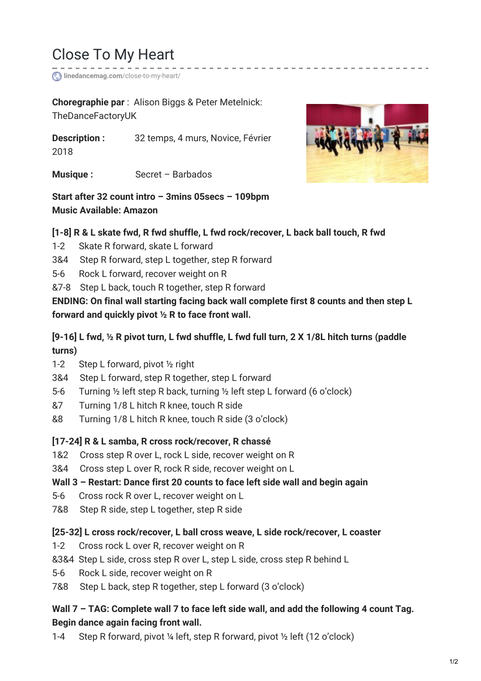# Close To My Heart

**linedancemag.com**[/close-to-my-heart/](http://www.linedancemag.com/close-to-my-heart/)

**Choregraphie par** : Alison Biggs & Peter Metelnick: TheDanceFactoryUK

**Description :** 32 temps, 4 murs, Novice, Février 2018

**Musique :** Secret – Barbados



## **Start after 32 count intro – 3mins 05secs – 109bpm Music Available: Amazon**

#### **[1-8] R & L skate fwd, R fwd shuffle, L fwd rock/recover, L back ball touch, R fwd**

- 1-2 Skate R forward, skate L forward
- 3&4 Step R forward, step L together, step R forward
- 5-6 Rock L forward, recover weight on R
- &7-8 Step L back, touch R together, step R forward

**ENDING: On final wall starting facing back wall complete first 8 counts and then step L forward and quickly pivot ½ R to face front wall.**

## [9-16] L fwd, 1/2 R pivot turn, L fwd shuffle, L fwd full turn, 2 X 1/8L hitch turns (paddle **turns)**

- 1-2 Step L forward, pivot ½ right
- 3&4 Step L forward, step R together, step L forward
- 5-6 Turning ½ left step R back, turning ½ left step L forward (6 o'clock)
- &7 Turning 1/8 L hitch R knee, touch R side
- &8 Turning 1/8 L hitch R knee, touch R side (3 o'clock)

## **[17-24] R & L samba, R cross rock/recover, R chassé**

- 1&2 Cross step R over L, rock L side, recover weight on R
- 3&4 Cross step L over R, rock R side, recover weight on L

## **Wall 3 – Restart: Dance first 20 counts to face left side wall and begin again**

- 5-6 Cross rock R over L, recover weight on L
- 7&8 Step R side, step L together, step R side

#### **[25-32] L cross rock/recover, L ball cross weave, L side rock/recover, L coaster**

- 1-2 Cross rock L over R, recover weight on R
- &3&4 Step L side, cross step R over L, step L side, cross step R behind L
- 5-6 Rock L side, recover weight on R
- 7&8 Step L back, step R together, step L forward (3 o'clock)

## **Wall 7 – TAG: Complete wall 7 to face left side wall, and add the following 4 count Tag. Begin dance again facing front wall.**

1-4 Step R forward, pivot ¼ left, step R forward, pivot ½ left (12 o'clock)